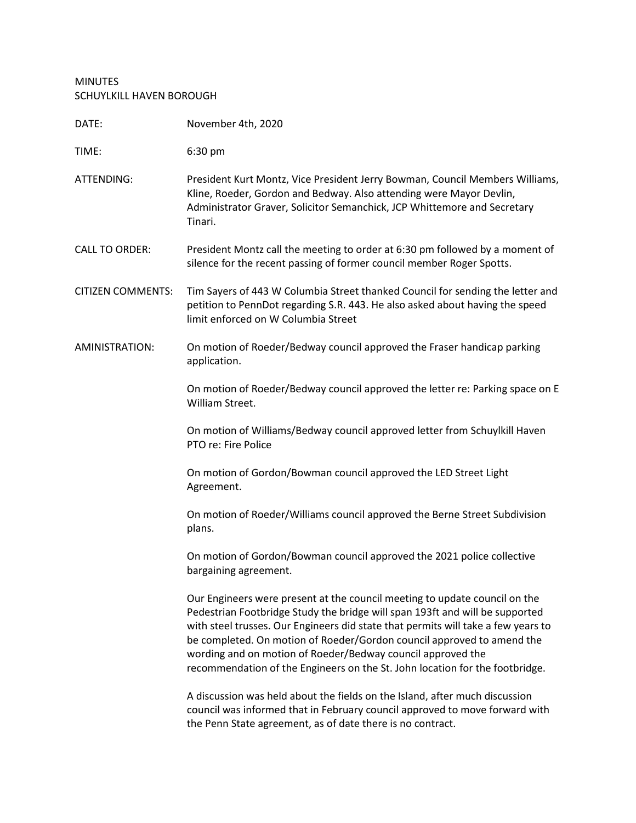## MINUTES SCHUYLKILL HAVEN BOROUGH

| DATE:                    | November 4th, 2020                                                                                                                                                                                                                                                                                                                                                                                                                                                       |
|--------------------------|--------------------------------------------------------------------------------------------------------------------------------------------------------------------------------------------------------------------------------------------------------------------------------------------------------------------------------------------------------------------------------------------------------------------------------------------------------------------------|
| TIME:                    | 6:30 pm                                                                                                                                                                                                                                                                                                                                                                                                                                                                  |
| ATTENDING:               | President Kurt Montz, Vice President Jerry Bowman, Council Members Williams,<br>Kline, Roeder, Gordon and Bedway. Also attending were Mayor Devlin,<br>Administrator Graver, Solicitor Semanchick, JCP Whittemore and Secretary<br>Tinari.                                                                                                                                                                                                                               |
| <b>CALL TO ORDER:</b>    | President Montz call the meeting to order at 6:30 pm followed by a moment of<br>silence for the recent passing of former council member Roger Spotts.                                                                                                                                                                                                                                                                                                                    |
| <b>CITIZEN COMMENTS:</b> | Tim Sayers of 443 W Columbia Street thanked Council for sending the letter and<br>petition to PennDot regarding S.R. 443. He also asked about having the speed<br>limit enforced on W Columbia Street                                                                                                                                                                                                                                                                    |
| AMINISTRATION:           | On motion of Roeder/Bedway council approved the Fraser handicap parking<br>application.                                                                                                                                                                                                                                                                                                                                                                                  |
|                          | On motion of Roeder/Bedway council approved the letter re: Parking space on E<br>William Street.                                                                                                                                                                                                                                                                                                                                                                         |
|                          | On motion of Williams/Bedway council approved letter from Schuylkill Haven<br>PTO re: Fire Police                                                                                                                                                                                                                                                                                                                                                                        |
|                          | On motion of Gordon/Bowman council approved the LED Street Light<br>Agreement.                                                                                                                                                                                                                                                                                                                                                                                           |
|                          | On motion of Roeder/Williams council approved the Berne Street Subdivision<br>plans.                                                                                                                                                                                                                                                                                                                                                                                     |
|                          | On motion of Gordon/Bowman council approved the 2021 police collective<br>bargaining agreement.                                                                                                                                                                                                                                                                                                                                                                          |
|                          | Our Engineers were present at the council meeting to update council on the<br>Pedestrian Footbridge Study the bridge will span 193ft and will be supported<br>with steel trusses. Our Engineers did state that permits will take a few years to<br>be completed. On motion of Roeder/Gordon council approved to amend the<br>wording and on motion of Roeder/Bedway council approved the<br>recommendation of the Engineers on the St. John location for the footbridge. |
|                          | A discussion was held about the fields on the Island, after much discussion<br>council was informed that in February council approved to move forward with<br>the Penn State agreement, as of date there is no contract.                                                                                                                                                                                                                                                 |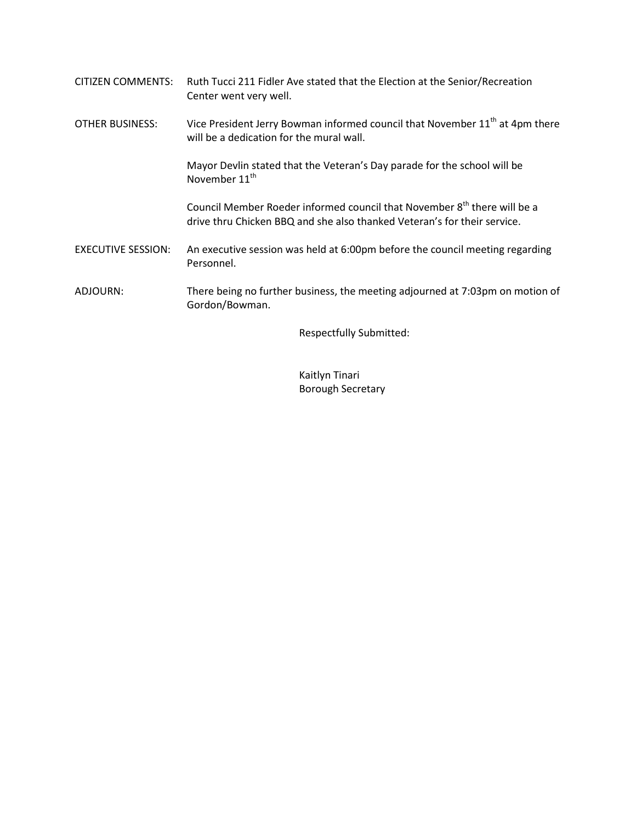| CITIZEN COMMENTS:         | Ruth Tucci 211 Fidler Ave stated that the Election at the Senior/Recreation<br>Center went very well.                                                            |
|---------------------------|------------------------------------------------------------------------------------------------------------------------------------------------------------------|
| <b>OTHER BUSINESS:</b>    | Vice President Jerry Bowman informed council that November 11 <sup>th</sup> at 4pm there<br>will be a dedication for the mural wall.                             |
|                           | Mayor Devlin stated that the Veteran's Day parade for the school will be<br>November 11 <sup>th</sup>                                                            |
|                           | Council Member Roeder informed council that November 8 <sup>th</sup> there will be a<br>drive thru Chicken BBQ and she also thanked Veteran's for their service. |
| <b>EXECUTIVE SESSION:</b> | An executive session was held at 6:00pm before the council meeting regarding<br>Personnel.                                                                       |
| ADJOURN:                  | There being no further business, the meeting adjourned at 7:03pm on motion of<br>Gordon/Bowman.                                                                  |
|                           | <b>Respectfully Submitted:</b>                                                                                                                                   |

Kaitlyn Tinari Borough Secretary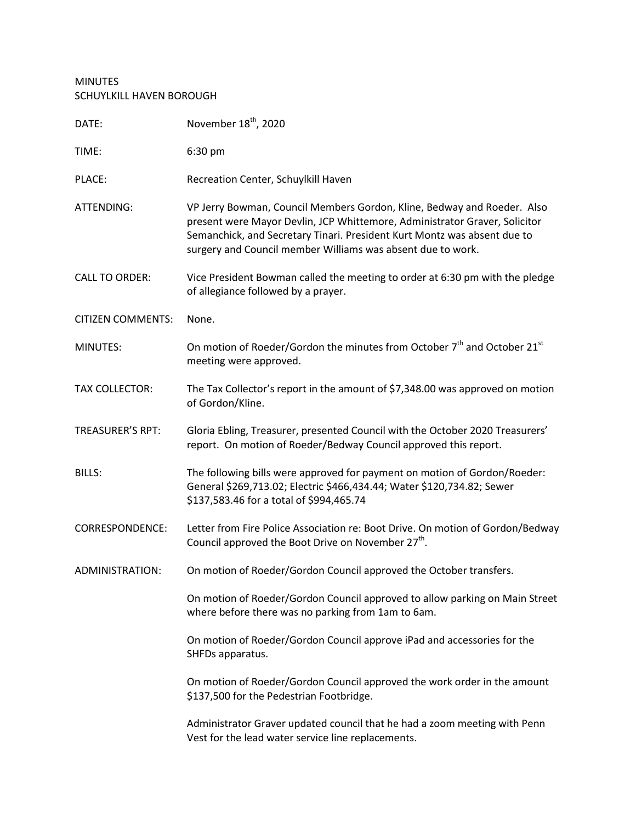## MINUTES SCHUYLKILL HAVEN BOROUGH

| DATE:                    | November 18 <sup>th</sup> , 2020                                                                                                                                                                                                                                                                 |
|--------------------------|--------------------------------------------------------------------------------------------------------------------------------------------------------------------------------------------------------------------------------------------------------------------------------------------------|
| TIME:                    | 6:30 pm                                                                                                                                                                                                                                                                                          |
| PLACE:                   | Recreation Center, Schuylkill Haven                                                                                                                                                                                                                                                              |
| ATTENDING:               | VP Jerry Bowman, Council Members Gordon, Kline, Bedway and Roeder. Also<br>present were Mayor Devlin, JCP Whittemore, Administrator Graver, Solicitor<br>Semanchick, and Secretary Tinari. President Kurt Montz was absent due to<br>surgery and Council member Williams was absent due to work. |
| <b>CALL TO ORDER:</b>    | Vice President Bowman called the meeting to order at 6:30 pm with the pledge<br>of allegiance followed by a prayer.                                                                                                                                                                              |
| <b>CITIZEN COMMENTS:</b> | None.                                                                                                                                                                                                                                                                                            |
| MINUTES:                 | On motion of Roeder/Gordon the minutes from October 7 <sup>th</sup> and October 21 <sup>st</sup><br>meeting were approved.                                                                                                                                                                       |
| <b>TAX COLLECTOR:</b>    | The Tax Collector's report in the amount of \$7,348.00 was approved on motion<br>of Gordon/Kline.                                                                                                                                                                                                |
| <b>TREASURER'S RPT:</b>  | Gloria Ebling, Treasurer, presented Council with the October 2020 Treasurers'<br>report. On motion of Roeder/Bedway Council approved this report.                                                                                                                                                |
| <b>BILLS:</b>            | The following bills were approved for payment on motion of Gordon/Roeder:<br>General \$269,713.02; Electric \$466,434.44; Water \$120,734.82; Sewer<br>\$137,583.46 for a total of \$994,465.74                                                                                                  |
| <b>CORRESPONDENCE:</b>   | Letter from Fire Police Association re: Boot Drive. On motion of Gordon/Bedway<br>Council approved the Boot Drive on November 27 <sup>th</sup> .                                                                                                                                                 |
| ADMINISTRATION:          | On motion of Roeder/Gordon Council approved the October transfers.                                                                                                                                                                                                                               |
|                          | On motion of Roeder/Gordon Council approved to allow parking on Main Street<br>where before there was no parking from 1am to 6am.                                                                                                                                                                |
|                          | On motion of Roeder/Gordon Council approve iPad and accessories for the<br>SHFDs apparatus.                                                                                                                                                                                                      |
|                          | On motion of Roeder/Gordon Council approved the work order in the amount<br>\$137,500 for the Pedestrian Footbridge.                                                                                                                                                                             |
|                          | Administrator Graver updated council that he had a zoom meeting with Penn<br>Vest for the lead water service line replacements.                                                                                                                                                                  |